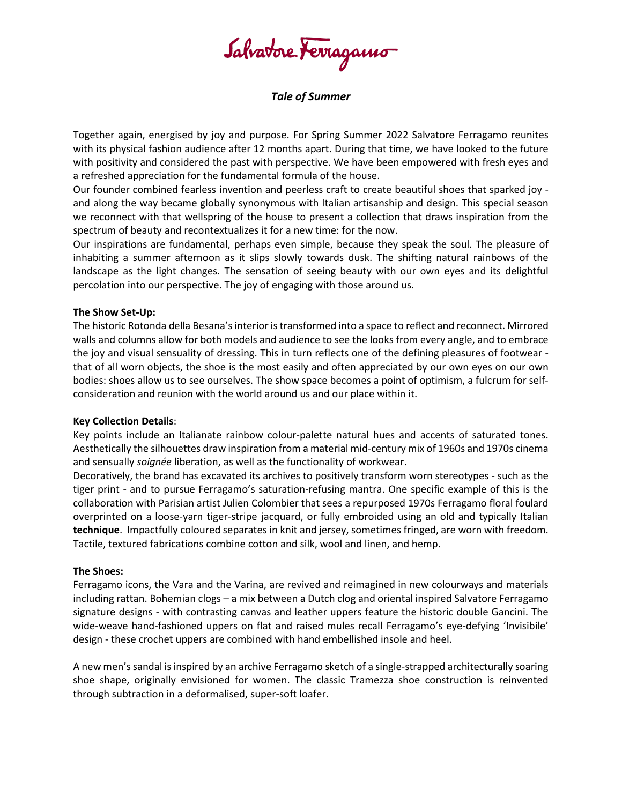Salvatore Ferragamo

# *Tale of Summer*

Together again, energised by joy and purpose. For Spring Summer 2022 Salvatore Ferragamo reunites with its physical fashion audience after 12 months apart. During that time, we have looked to the future with positivity and considered the past with perspective. We have been empowered with fresh eyes and a refreshed appreciation for the fundamental formula of the house.

Our founder combined fearless invention and peerless craft to create beautiful shoes that sparked joy and along the way became globally synonymous with Italian artisanship and design. This special season we reconnect with that wellspring of the house to present a collection that draws inspiration from the spectrum of beauty and recontextualizes it for a new time: for the now.

Our inspirations are fundamental, perhaps even simple, because they speak the soul. The pleasure of inhabiting a summer afternoon as it slips slowly towards dusk. The shifting natural rainbows of the landscape as the light changes. The sensation of seeing beauty with our own eyes and its delightful percolation into our perspective. The joy of engaging with those around us.

### **The Show Set-Up:**

The historic Rotonda della Besana's interior is transformed into a space to reflect and reconnect. Mirrored walls and columns allow for both models and audience to see the looks from every angle, and to embrace the joy and visual sensuality of dressing. This in turn reflects one of the defining pleasures of footwear that of all worn objects, the shoe is the most easily and often appreciated by our own eyes on our own bodies: shoes allow us to see ourselves. The show space becomes a point of optimism, a fulcrum for selfconsideration and reunion with the world around us and our place within it.

### **Key Collection Details**:

Key points include an Italianate rainbow colour-palette natural hues and accents of saturated tones. Aesthetically the silhouettes draw inspiration from a material mid-century mix of 1960s and 1970s cinema and sensually *soignée* liberation, as well as the functionality of workwear.

Decoratively, the brand has excavated its archives to positively transform worn stereotypes - such as the tiger print - and to pursue Ferragamo's saturation-refusing mantra. One specific example of this is the collaboration with Parisian artist Julien Colombier that sees a repurposed 1970s Ferragamo floral foulard overprinted on a loose-yarn tiger-stripe jacquard, or fully embroided using an old and typically Italian **technique**. Impactfully coloured separates in knit and jersey, sometimes fringed, are worn with freedom. Tactile, textured fabrications combine cotton and silk, wool and linen, and hemp.

### **The Shoes:**

Ferragamo icons, the Vara and the Varina, are revived and reimagined in new colourways and materials including rattan. Bohemian clogs – a mix between a Dutch clog and oriental inspired Salvatore Ferragamo signature designs - with contrasting canvas and leather uppers feature the historic double Gancini. The wide-weave hand-fashioned uppers on flat and raised mules recall Ferragamo's eye-defying 'Invisibile' design - these crochet uppers are combined with hand embellished insole and heel.

A new men's sandal is inspired by an archive Ferragamo sketch of a single-strapped architecturally soaring shoe shape, originally envisioned for women. The classic Tramezza shoe construction is reinvented through subtraction in a deformalised, super-soft loafer.